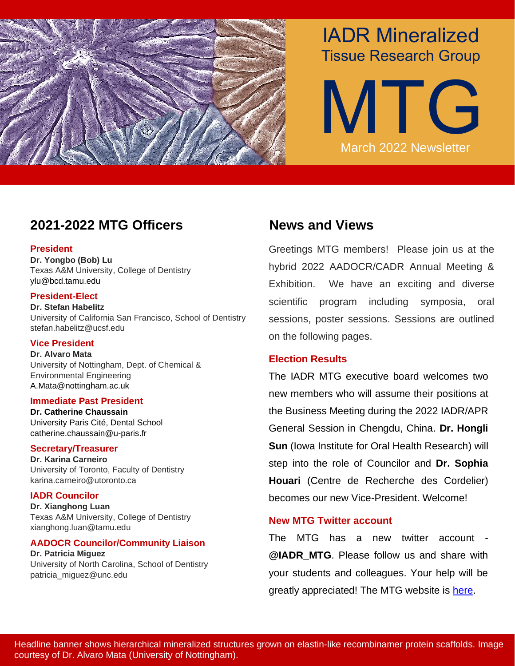

# IADR Mineralized Tissue Research Group

MTG March 2022 Newsletter

## **2021-2022 MTG Officers News and Views**

#### **President**

**Dr. Yongbo (Bob) Lu** Texas A&M University, College of Dentistry ylu@bcd.tamu.edu

#### **President-Elect**

**Dr. Stefan Habelitz** University of California San Francisco, School of Dentistry stefan.habelitz@ucsf.edu

#### **Vice President**

**Dr. Alvaro Mata** University of Nottingham, Dept. of Chemical & Environmental Engineering A.Mata@nottingham.ac.uk

#### **Immediate Past President**

**Dr. Catherine Chaussain**  University Paris Cité, Dental School catherine.chaussain@u-paris.fr

#### **Secretary/Treasurer**

**Dr. Karina Carneiro** University of Toronto, Faculty of Dentistry karina.carneiro@utoronto.ca

#### **IADR Councilor**

**Dr. Xianghong Luan**  Texas A&M University, College of Dentistry xianghong.luan@tamu.edu

#### **AADOCR Councilor/Community Liaison**

**Dr. Patricia Miguez** University of North Carolina, School of Dentistry patricia\_miguez@unc.edu

Greetings MTG members! Please join us at the hybrid 2022 AADOCR/CADR Annual Meeting & Exhibition. We have an exciting and diverse scientific program including symposia, oral sessions, poster sessions. Sessions are outlined on the following pages.

### **Election Results**

The IADR MTG executive board welcomes two new members who will assume their positions at the Business Meeting during the 2022 IADR/APR General Session in Chengdu, China. **Dr. Hongli Sun** (Iowa Institute for Oral Health Research) will step into the role of Councilor and **Dr. Sophia Houari** (Centre de Recherche des Cordelier) becomes our new Vice-President. Welcome!

### **New MTG Twitter account**

The MTG has a new twitter account - **@IADR\_MTG**. Please follow us and share with your students and colleagues. Your help will be greatly appreciated! The MTG website is [here.](https://www.iadr.org/membership/communities/groups-networks/mineralized-tissue-group)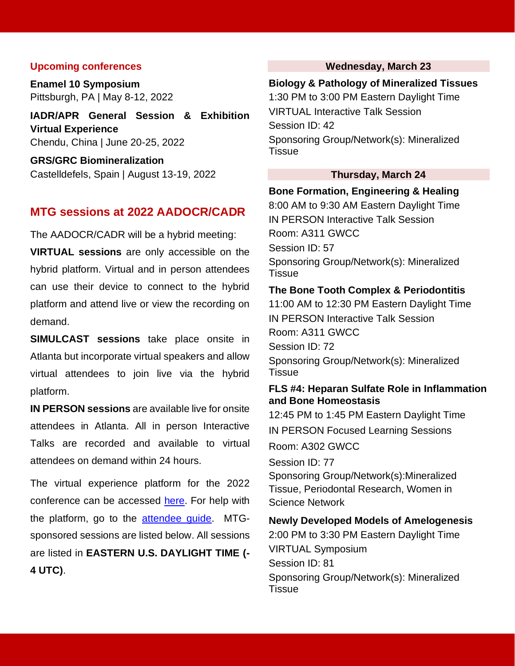#### **Upcoming conferences**

**Enamel 10 Symposium** Pittsburgh, PA | May 8-12, 2022

**IADR/APR General Session & Exhibition Virtual Experience** Chendu, China | June 20-25, 2022

**GRS/GRC Biomineralization** Castelldefels, Spain | August 13-19, 2022

#### **MTG sessions at 2022 AADOCR/CADR**

The AADOCR/CADR will be a hybrid meeting:

**VIRTUAL sessions** are only accessible on the hybrid platform. Virtual and in person attendees can use their device to connect to the hybrid platform and attend live or view the recording on demand.

**SIMULCAST sessions** take place onsite in Atlanta but incorporate virtual speakers and allow virtual attendees to join live via the hybrid platform.

**IN PERSON sessions** are available live for onsite attendees in Atlanta. All in person Interactive Talks are recorded and available to virtual attendees on demand within 24 hours.

The virtual experience platform for the 2022 conference can be accessed [here.](https://aaam2022.secure-platform.com/a) For help with the platform, go to the [attendee guide.](https://aaam2022.secure-platform.com/a/page/help/help-general/help-general-reg) MTGsponsored sessions are listed below. All sessions are listed in **EASTERN U.S. DAYLIGHT TIME (- 4 UTC)**.

#### **Wednesday, March 23**

#### **Biology & Pathology of Mineralized Tissues**

1:30 PM to 3:00 PM Eastern Daylight Time VIRTUAL Interactive Talk Session Session ID: 42 Sponsoring Group/Network(s): Mineralized **Tissue** 

#### **Thursday, March 24**

#### **Bone Formation, Engineering & Healing**

8:00 AM to 9:30 AM Eastern Daylight Time IN PERSON Interactive Talk Session Room: A311 GWCC Session ID: 57 Sponsoring Group/Network(s): Mineralized **Tissue** 

#### **The Bone Tooth Complex & Periodontitis**

11:00 AM to 12:30 PM Eastern Daylight Time IN PERSON Interactive Talk Session Room: A311 GWCC Session ID: 72 Sponsoring Group/Network(s): Mineralized **Tissue** 

#### **FLS #4: Heparan Sulfate Role in Inflammation and Bone Homeostasis**

12:45 PM to 1:45 PM Eastern Daylight Time IN PERSON Focused Learning Sessions Room: A302 GWCC Session ID: 77

Sponsoring Group/Network(s):Mineralized Tissue, Periodontal Research, Women in Science Network

**Newly Developed Models of Amelogenesis** 2:00 PM to 3:30 PM Eastern Daylight Time VIRTUAL Symposium Session ID: 81 Sponsoring Group/Network(s): Mineralized **Tissue**